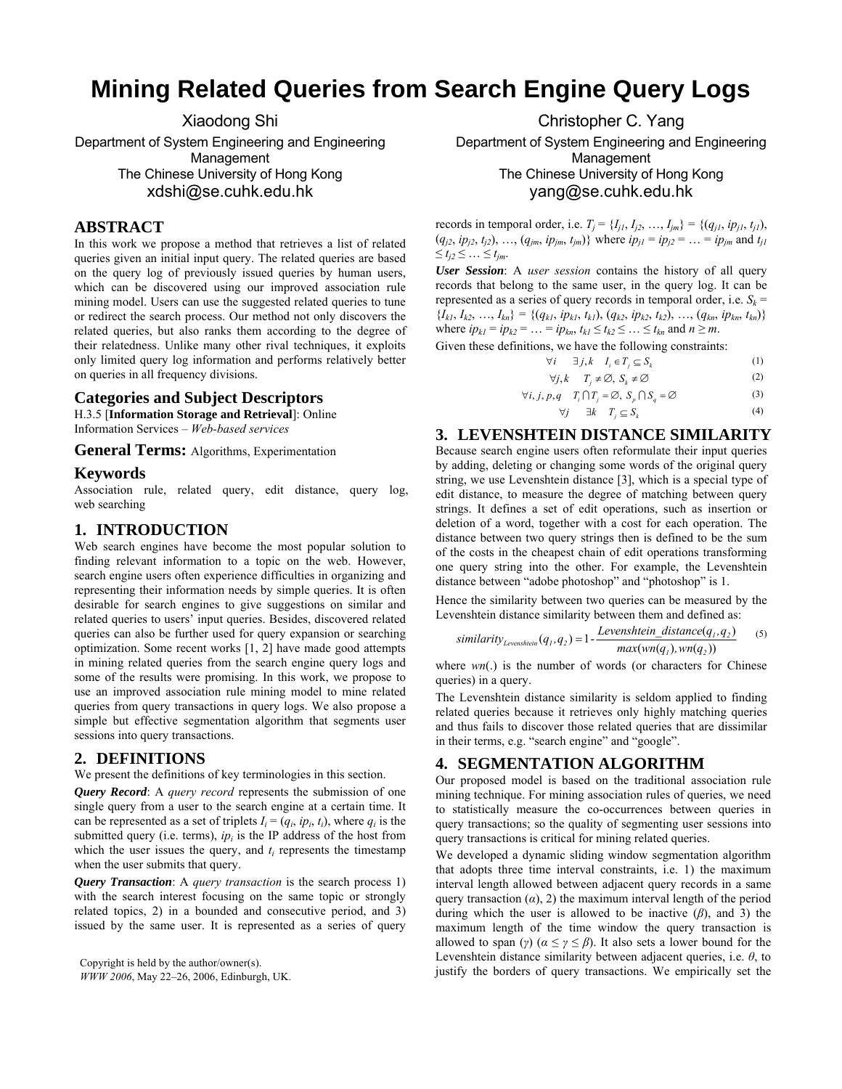# **Mining Related Queries from Search Engine Query Logs**

Xiaodong Shi Department of System Engineering and Engineering Management The Chinese University of Hong Kong xdshi@se.cuhk.edu.hk

# **ABSTRACT**

In this work we propose a method that retrieves a list of related queries given an initial input query. The related queries are based on the query log of previously issued queries by human users, which can be discovered using our improved association rule mining model. Users can use the suggested related queries to tune or redirect the search process. Our method not only discovers the related queries, but also ranks them according to the degree of their relatedness. Unlike many other rival techniques, it exploits only limited query log information and performs relatively better on queries in all frequency divisions.

#### **Categories and Subject Descriptors**

H.3.5 [**Information Storage and Retrieval**]: Online Information Services – *Web-based services*

**General Terms:** Algorithms, Experimentation

#### **Keywords**

Association rule, related query, edit distance, query log, web searching

## **1. INTRODUCTION**

Web search engines have become the most popular solution to finding relevant information to a topic on the web. However, search engine users often experience difficulties in organizing and representing their information needs by simple queries. It is often desirable for search engines to give suggestions on similar and related queries to users' input queries. Besides, discovered related queries can also be further used for query expansion or searching optimization. Some recent works [1, 2] have made good attempts in mining related queries from the search engine query logs and some of the results were promising. In this work, we propose to use an improved association rule mining model to mine related queries from query transactions in query logs. We also propose a simple but effective segmentation algorithm that segments user sessions into query transactions.

#### **2. DEFINITIONS**

We present the definitions of key terminologies in this section.

*Query Record*: A *query record* represents the submission of one single query from a user to the search engine at a certain time. It can be represented as a set of triplets  $I_i = (q_i, ip_i, t_i)$ , where  $q_i$  is the submitted query (i.e. terms),  $ip_i$  is the IP address of the host from which the user issues the query, and  $t_i$  represents the timestamp when the user submits that query.

*Query Transaction*: A *query transaction* is the search process 1) with the search interest focusing on the same topic or strongly related topics, 2) in a bounded and consecutive period, and 3) issued by the same user. It is represented as a series of query

*WWW 2006*, May 22–26, 2006, Edinburgh, UK.

Christopher C. Yang Department of System Engineering and Engineering Management The Chinese University of Hong Kong yang@se.cuhk.edu.hk

records in temporal order, i.e.  $T_j = \{I_{j1}, I_{j2}, ..., I_{jm}\} = \{(q_{j1}, ip_{j1}, t_{j1}),\}$  $(q_{j2}, ip_{j2}, t_{j2}), ..., (q_{jm}, ip_{jm}, t_{jm})\}$  where  $ip_{j1} = ip_{j2} = ... = ip_{jm}$  and  $t_{j1}$  $\leq t_{i2} \leq \ldots \leq t_{im}$ .

*User Session*: A *user session* contains the history of all query records that belong to the same user, in the query log. It can be represented as a series of query records in temporal order, i.e.  $S_k$  =  ${I_{kl}, I_{k2}, ..., I_{kn}} = {(q_{kl}, ip_{kl}, t_{kl}), (q_{k2}, ip_{k2}, t_{k2}), ..., (q_{kn}, ip_{kn}, t_{kn})}$ where  $ip_{k1} = ip_{k2} = ... = ip_{kn}, t_{k1} \le t_{k2} \le ... \le t_{kn}$  and  $n \ge m$ .

Given these definitions, we have the following constraints:

$$
\forall i \quad \exists j, k \quad I_i \in T_j \subseteq S_k
$$
  

$$
\forall i, k \quad T_i \neq \emptyset, S_i \neq \emptyset
$$
  
(1)

$$
\forall j, n \quad 1_j \neq \infty, \, S_k \neq \infty
$$
  

$$
\forall i, j, p, q \quad T_i \cap T_i = \emptyset, \, S_n \cap S_a = \emptyset
$$
 (3)

$$
\forall j, p, q \quad T_i | T_j = \emptyset, \quad S_p | T_q = \emptyset
$$
\n
$$
\forall j \quad \exists k \quad T_i \subseteq S_k \tag{4}
$$

**3. LEVENSHTEIN DISTANCE SIMILARITY** 

Because search engine users often reformulate their input queries by adding, deleting or changing some words of the original query string, we use Levenshtein distance [3], which is a special type of edit distance, to measure the degree of matching between query strings. It defines a set of edit operations, such as insertion or deletion of a word, together with a cost for each operation. The distance between two query strings then is defined to be the sum of the costs in the cheapest chain of edit operations transforming one query string into the other. For example, the Levenshtein distance between "adobe photoshop" and "photoshop" is 1.

Hence the similarity between two queries can be measured by the Levenshtein distance similarity between them and defined as:

$$
similarity_{Levensheim}(q_1, q_2) = 1 - \frac{Levenshtein\_distance(q_1, q_2)}{max(wn(q_1), wn(q_2))}
$$
 (5)

where *wn*(.) is the number of words (or characters for Chinese queries) in a query.

The Levenshtein distance similarity is seldom applied to finding related queries because it retrieves only highly matching queries and thus fails to discover those related queries that are dissimilar in their terms, e.g. "search engine" and "google".

# **4. SEGMENTATION ALGORITHM**

Our proposed model is based on the traditional association rule mining technique. For mining association rules of queries, we need to statistically measure the co-occurrences between queries in query transactions; so the quality of segmenting user sessions into query transactions is critical for mining related queries.

We developed a dynamic sliding window segmentation algorithm that adopts three time interval constraints, i.e. 1) the maximum interval length allowed between adjacent query records in a same query transaction  $(\alpha)$ , 2) the maximum interval length of the period during which the user is allowed to be inactive (*β*), and 3) the maximum length of the time window the query transaction is allowed to span (*γ*) ( $\alpha \leq \gamma \leq \beta$ ). It also sets a lower bound for the Levenshtein distance similarity between adjacent queries, i.e. *θ*, to Copyright is held by the author/owner(s).<br>  $\frac{1}{2}$  Copyright is held by the author/owner(s).<br>  $\frac{1}{2}$  Copyright is held by the author/owner(s).<br>  $\frac{1}{2}$  Copyright is held by the author/owner(s).